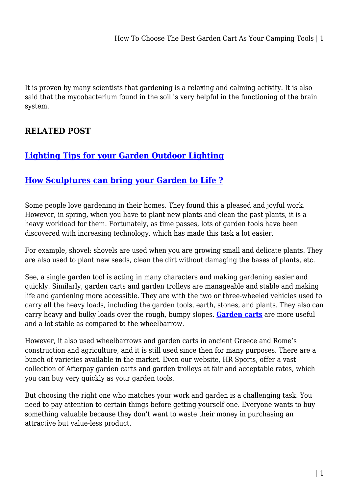It is proven by many scientists that gardening is a relaxing and calming activity. It is also said that the mycobacterium found in the soil is very helpful in the functioning of the brain system.

## **RELATED POST**

## **[Lighting Tips for your Garden Outdoor Lighting](https://uniaustralia.com.au/lighting-tips-for-your-garden-outdoor-lighting/)**

## **[How Sculptures can bring your Garden to Life ?](https://uniaustralia.com.au/how-sculptures-can-bring-your-garden-to-life/)**

Some people love gardening in their homes. They found this a pleased and joyful work. However, in spring, when you have to plant new plants and clean the past plants, it is a heavy workload for them. Fortunately, as time passes, lots of garden tools have been discovered with increasing technology, which has made this task a lot easier.

For example, shovel: shovels are used when you are growing small and delicate plants. They are also used to plant new seeds, clean the dirt without damaging the bases of plants, etc.

See, a single garden tool is acting in many characters and making gardening easier and quickly. Similarly, garden carts and garden trolleys are manageable and stable and making life and gardening more accessible. They are with the two or three-wheeled vehicles used to carry all the heavy loads, including the garden tools, earth, stones, and plants. They also can carry heavy and bulky loads over the rough, bumpy slopes. **[Garden carts](https://www.hr-sports.com.au/gardening/)** are more useful and a lot stable as compared to the wheelbarrow.

However, it also used wheelbarrows and garden carts in ancient Greece and Rome's construction and agriculture, and it is still used since then for many purposes. There are a bunch of varieties available in the market. Even our website, HR Sports, offer a vast collection of Afterpay garden carts and garden trolleys at fair and acceptable rates, which you can buy very quickly as your garden tools.

But choosing the right one who matches your work and garden is a challenging task. You need to pay attention to certain things before getting yourself one. Everyone wants to buy something valuable because they don't want to waste their money in purchasing an attractive but value-less product.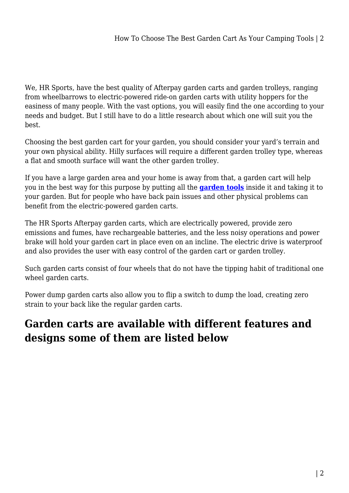We, HR Sports, have the best quality of Afterpay garden carts and garden trolleys, ranging from wheelbarrows to electric-powered ride-on garden carts with utility hoppers for the easiness of many people. With the vast options, you will easily find the one according to your needs and budget. But I still have to do a little research about which one will suit you the best.

Choosing the best garden cart for your garden, you should consider your yard's terrain and your own physical ability. Hilly surfaces will require a different garden trolley type, whereas a flat and smooth surface will want the other garden trolley.

If you have a large garden area and your home is away from that, a garden cart will help you in the best way for this purpose by putting all the **[garden tools](https://uniaustralia.com.au/category/garden-tools/)** inside it and taking it to your garden. But for people who have back pain issues and other physical problems can benefit from the electric-powered garden carts.

The HR Sports Afterpay garden carts, which are electrically powered, provide zero emissions and fumes, have rechargeable batteries, and the less noisy operations and power brake will hold your garden cart in place even on an incline. The electric drive is waterproof and also provides the user with easy control of the garden cart or garden trolley.

Such garden carts consist of four wheels that do not have the tipping habit of traditional one wheel garden carts.

Power dump garden carts also allow you to flip a switch to dump the load, creating zero strain to your back like the regular garden carts.

## **Garden carts are available with different features and designs some of them are listed below**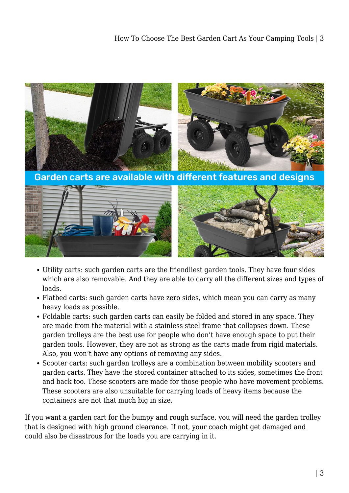

- Utility carts: such garden carts are the friendliest garden tools. They have four sides which are also removable. And they are able to carry all the different sizes and types of loads.
- Flatbed carts: such garden carts have zero sides, which mean you can carry as many heavy loads as possible.
- Foldable carts: such garden carts can easily be folded and stored in any space. They are made from the material with a stainless steel frame that collapses down. These garden trolleys are the best use for people who don't have enough space to put their garden tools. However, they are not as strong as the carts made from rigid materials. Also, you won't have any options of removing any sides.
- Scooter carts: such garden trolleys are a combination between mobility scooters and garden carts. They have the stored container attached to its sides, sometimes the front and back too. These scooters are made for those people who have movement problems. These scooters are also unsuitable for carrying loads of heavy items because the containers are not that much big in size.

If you want a garden cart for the bumpy and rough surface, you will need the garden trolley that is designed with high ground clearance. If not, your coach might get damaged and could also be disastrous for the loads you are carrying in it.